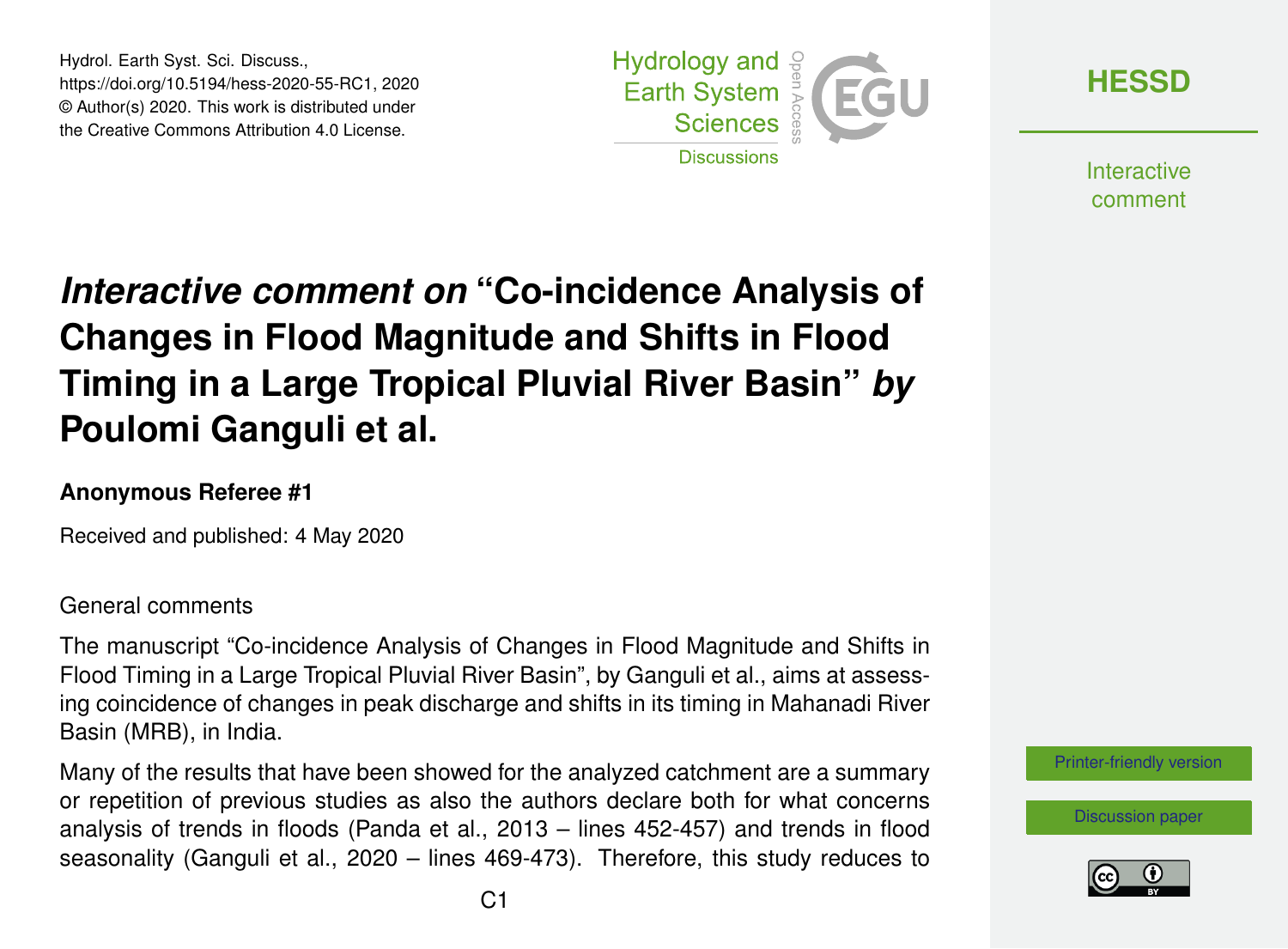Hydrol. Earth Syst. Sci. Discuss., https://doi.org/10.5194/hess-2020-55-RC1, 2020 © Author(s) 2020. This work is distributed under the Creative Commons Attribution 4.0 License.



**[HESSD](https://www.hydrol-earth-syst-sci-discuss.net/)**

**Interactive** comment

# *Interactive comment on* **"Co-incidence Analysis of Changes in Flood Magnitude and Shifts in Flood Timing in a Large Tropical Pluvial River Basin"** *by* **Poulomi Ganguli et al.**

### **Anonymous Referee #1**

Received and published: 4 May 2020

#### General comments

The manuscript "Co-incidence Analysis of Changes in Flood Magnitude and Shifts in Flood Timing in a Large Tropical Pluvial River Basin", by Ganguli et al., aims at assessing coincidence of changes in peak discharge and shifts in its timing in Mahanadi River Basin (MRB), in India.

Many of the results that have been showed for the analyzed catchment are a summary or repetition of previous studies as also the authors declare both for what concerns analysis of trends in floods (Panda et al., 2013 – lines 452-457) and trends in flood seasonality (Ganguli et al., 2020 – lines 469-473). Therefore, this study reduces to



[Discussion paper](https://www.hydrol-earth-syst-sci-discuss.net/hess-2020-55)

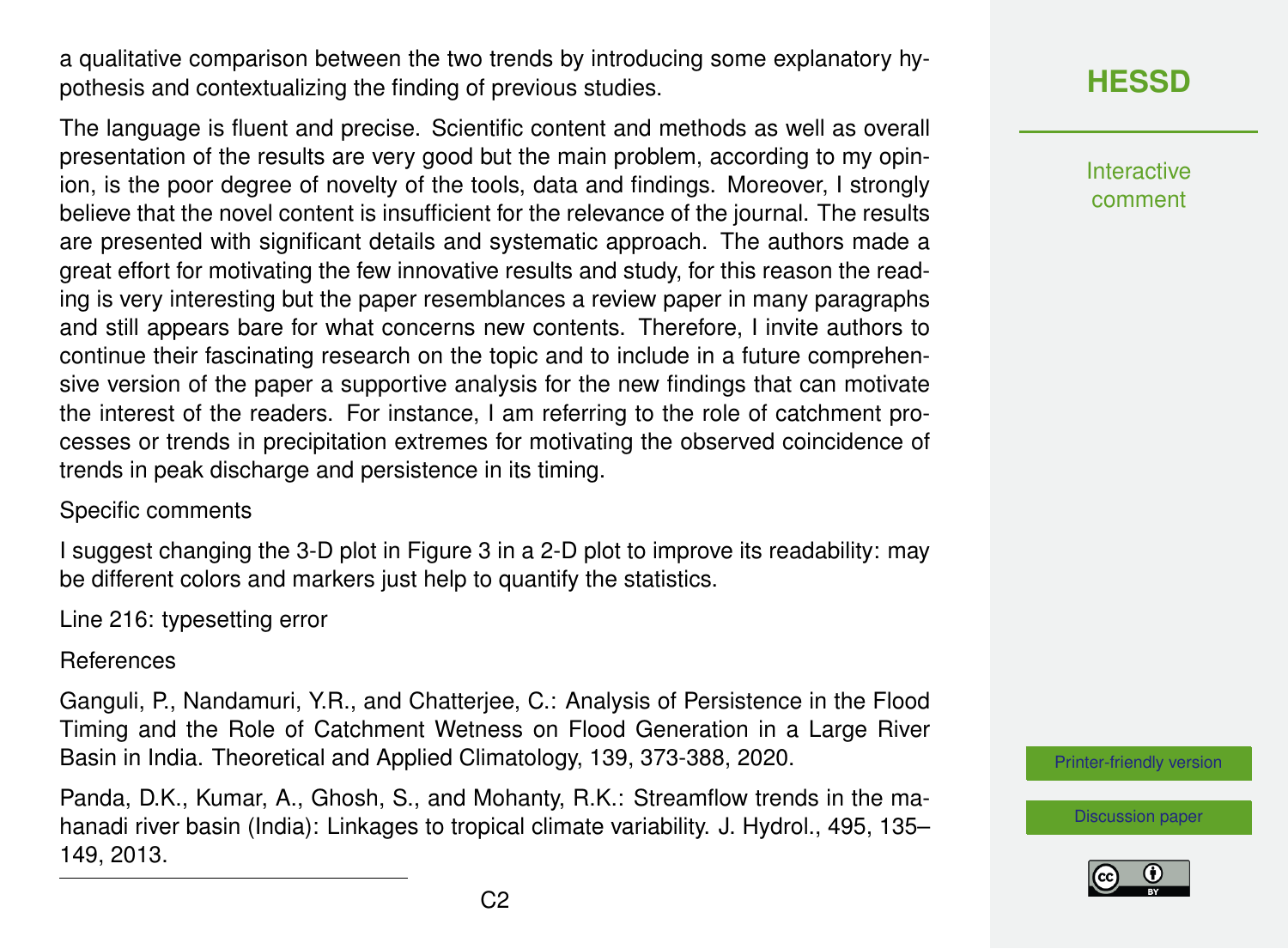a qualitative comparison between the two trends by introducing some explanatory hypothesis and contextualizing the finding of previous studies.

The language is fluent and precise. Scientific content and methods as well as overall presentation of the results are very good but the main problem, according to my opinion, is the poor degree of novelty of the tools, data and findings. Moreover, I strongly believe that the novel content is insufficient for the relevance of the journal. The results are presented with significant details and systematic approach. The authors made a great effort for motivating the few innovative results and study, for this reason the reading is very interesting but the paper resemblances a review paper in many paragraphs and still appears bare for what concerns new contents. Therefore, I invite authors to continue their fascinating research on the topic and to include in a future comprehensive version of the paper a supportive analysis for the new findings that can motivate the interest of the readers. For instance, I am referring to the role of catchment processes or trends in precipitation extremes for motivating the observed coincidence of trends in peak discharge and persistence in its timing.

#### Specific comments

I suggest changing the 3-D plot in Figure 3 in a 2-D plot to improve its readability: may be different colors and markers just help to quantify the statistics.

Line 216: typesetting error

References

Ganguli, P., Nandamuri, Y.R., and Chatterjee, C.: Analysis of Persistence in the Flood Timing and the Role of Catchment Wetness on Flood Generation in a Large River Basin in India. Theoretical and Applied Climatology, 139, 373-388, 2020.

Panda, D.K., Kumar, A., Ghosh, S., and Mohanty, R.K.: Streamflow trends in the mahanadi river basin (India): Linkages to tropical climate variability. J. Hydrol., 495, 135– 149, 2013.

## **[HESSD](https://www.hydrol-earth-syst-sci-discuss.net/)**

Interactive comment

[Printer-friendly version](https://www.hydrol-earth-syst-sci-discuss.net/hess-2020-55/hess-2020-55-RC1-print.pdf)

[Discussion paper](https://www.hydrol-earth-syst-sci-discuss.net/hess-2020-55)